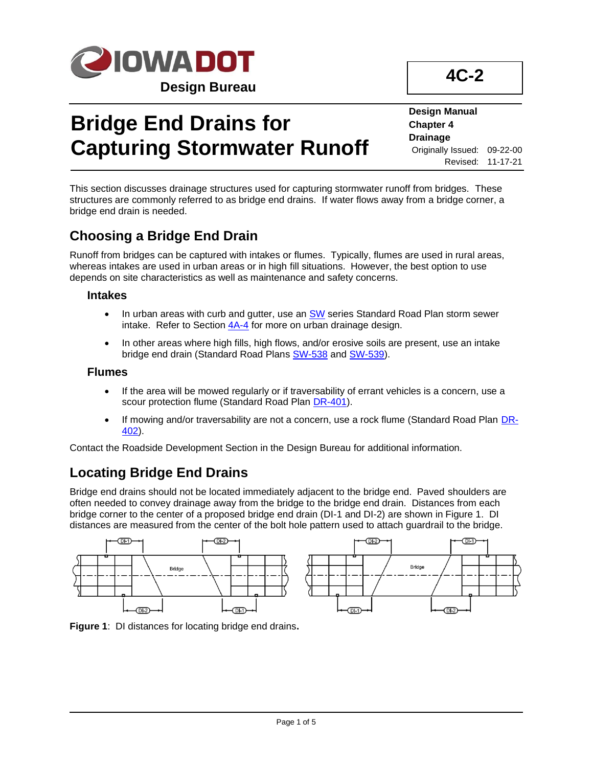

# **Bridge End Drains for Capturing Stormwater Runoff**

**Design Manual Chapter 4 Drainage** Originally Issued: 09-22-00 Revised: 11-17-21

**4C-2**

This section discusses drainage structures used for capturing stormwater runoff from bridges. These structures are commonly referred to as bridge end drains. If water flows away from a bridge corner, a bridge end drain is needed.

### **Choosing a Bridge End Drain**

Runoff from bridges can be captured with intakes or flumes. Typically, flumes are used in rural areas, whereas intakes are used in urban areas or in high fill situations. However, the best option to use depends on site characteristics as well as maintenance and safety concerns.

#### **Intakes**

- In urban areas with curb and gutter, use an [SW](../stdplne_sw) series Standard Road Plan storm sewer intake. Refer to Section  $4A-4$  for more on urban drainage design.
- In other areas where high fills, high flows, and/or erosive soils are present, use an intake bridge end drain (Standard Road Plans [SW-538](../SRP/IndividualStandards/sw538.pdf) an[d SW-539\)](../SRP/IndividualStandards/sw539.pdf).

#### **Flumes**

- If the area will be mowed regularly or if traversability of errant vehicles is a concern, use a scour protection flume (Standard Road Plan [DR-401\)](../SRP/IndividualStandards/dr401.pdf).
- If mowing and/or traversability are not a concern, use a rock flume (Standard Road Plan [DR-](../SRP/IndividualStandards/dr402.pdf)[402\)](../SRP/IndividualStandards/dr402.pdf).

Contact the Roadside Development Section in the Design Bureau for additional information.

## **Locating Bridge End Drains**

Bridge end drains should not be located immediately adjacent to the bridge end. Paved shoulders are often needed to convey drainage away from the bridge to the bridge end drain. Distances from each bridge corner to the center of a proposed bridge end drain (DI-1 and DI-2) are shown in Figure 1. DI distances are measured from the center of the bolt hole pattern used to attach guardrail to the bridge.



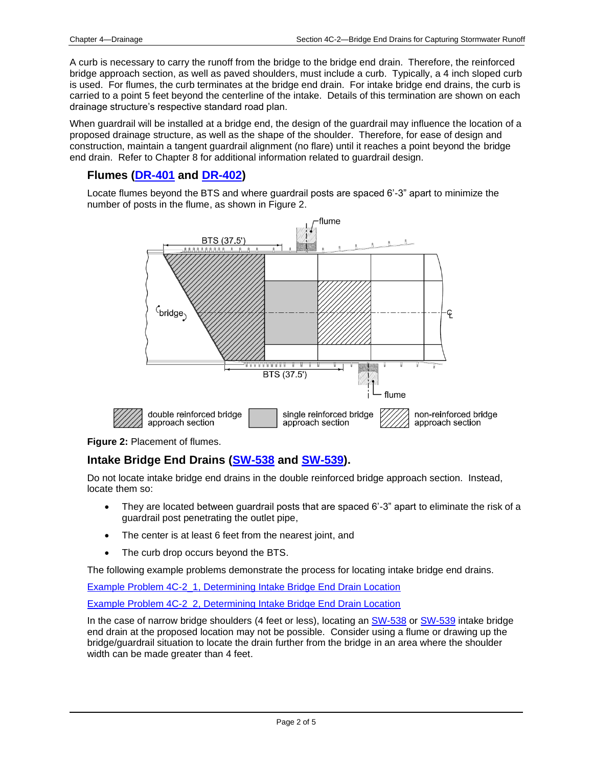A curb is necessary to carry the runoff from the bridge to the bridge end drain. Therefore, the reinforced bridge approach section, as well as paved shoulders, must include a curb. Typically, a 4 inch sloped curb is used. For flumes, the curb terminates at the bridge end drain. For intake bridge end drains, the curb is carried to a point 5 feet beyond the centerline of the intake. Details of this termination are shown on each drainage structure's respective standard road plan.

When guardrail will be installed at a bridge end, the design of the guardrail may influence the location of a proposed drainage structure, as well as the shape of the shoulder. Therefore, for ease of design and construction, maintain a tangent guardrail alignment (no flare) until it reaches a point beyond the bridge end drain. Refer to Chapter 8 for additional information related to guardrail design.

#### **Flumes [\(DR-401](../SRP/IndividualStandards/dr401.pdf) and [DR-402\)](../SRP/IndividualStandards/dr402.pdf)**

Locate flumes beyond the BTS and where guardrail posts are spaced 6'-3" apart to minimize the number of posts in the flume, as shown in Figure 2.



#### **Figure 2:** Placement of flumes.

#### **Intake Bridge End Drains [\(SW-538](../SRP/IndividualStandards/sw538.pdf) and [SW-539\)](../SRP/IndividualStandards/sw539.pdf).**

Do not locate intake bridge end drains in the double reinforced bridge approach section. Instead, locate them so:

- They are located between guardrail posts that are spaced 6'-3" apart to eliminate the risk of a guardrail post penetrating the outlet pipe,
- The center is at least 6 feet from the nearest joint, and
- The curb drop occurs beyond the BTS.

The following example problems demonstrate the process for locating intake bridge end drains.

[Example Problem 4C-2\\_1, Determining Intake Bridge End Drain Location](04c-02/Example_Problem_4C-02_1.pdf)

[Example Problem 4C-2\\_2, Determining Intake Bridge End Drain Location](04c-02/Example_Problem_4C-02_2.pdf)

In the case of narrow bridge shoulders (4 feet or less), locating a[n SW-538](../SRP/IndividualStandards/sw538.pdf) or [SW-539](../SRP/IndividualStandards/sw539.pdf) intake bridge end drain at the proposed location may not be possible. Consider using a flume or drawing up the bridge/guardrail situation to locate the drain further from the bridge in an area where the shoulder width can be made greater than 4 feet.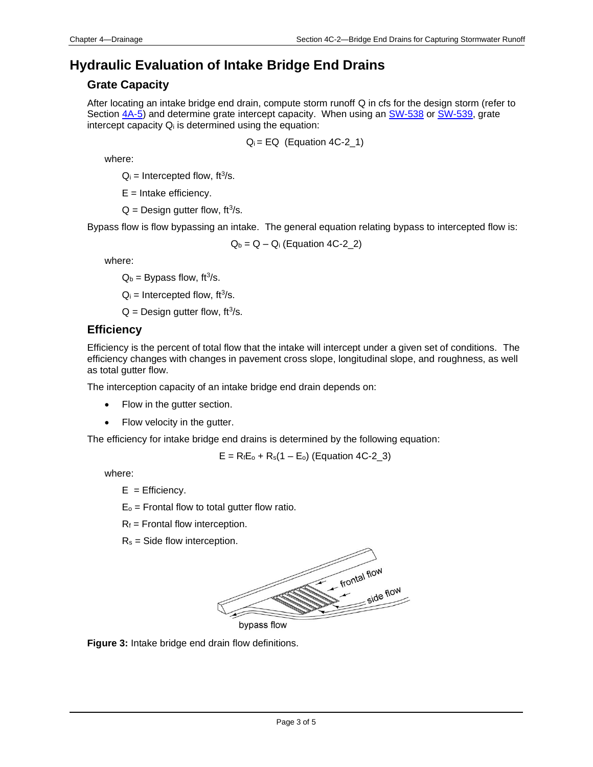### **Hydraulic Evaluation of Intake Bridge End Drains**

#### **Grate Capacity**

After locating an intake bridge end drain, compute storm runoff Q in cfs for the design storm (refer to Section  $4A-5$ ) and determine grate intercept capacity. When using an [SW-538](../SRP/IndividualStandards/sw538.pdf) or [SW-539,](../SRP/IndividualStandards/sw539.pdf) grate intercept capacity  $Q_i$  is determined using the equation:

 $Q_i = EQ$  (Equation 4C-2 $_1$ )

where:

 $Q_i$  = Intercepted flow, ft<sup>3</sup>/s.

 $E =$  Intake efficiency.

 $Q =$  Design gutter flow, ft<sup>3</sup>/s.

Bypass flow is flow bypassing an intake. The general equation relating bypass to intercepted flow is:

 $Q_b = Q - Q_i$  (Equation 4C-2\_2)

where:

 $Q_b$  = Bypass flow, ft<sup>3</sup>/s.

 $Q_i$  = Intercepted flow, ft<sup>3</sup>/s.

 $Q =$  Design gutter flow, ft<sup>3</sup>/s.

#### **Efficiency**

Efficiency is the percent of total flow that the intake will intercept under a given set of conditions. The efficiency changes with changes in pavement cross slope, longitudinal slope, and roughness, as well as total gutter flow.

The interception capacity of an intake bridge end drain depends on:

- Flow in the gutter section.
- Flow velocity in the gutter.

The efficiency for intake bridge end drains is determined by the following equation:

 $E = R_f E_o + R_s (1 - E_o)$  (Equation 4C-2\_3)

where:

 $E =$  Efficiency.

 $E_0$  = Frontal flow to total gutter flow ratio.

 $R_f$  = Frontal flow interception.

 $R_s$  = Side flow interception.



**Figure 3:** Intake bridge end drain flow definitions.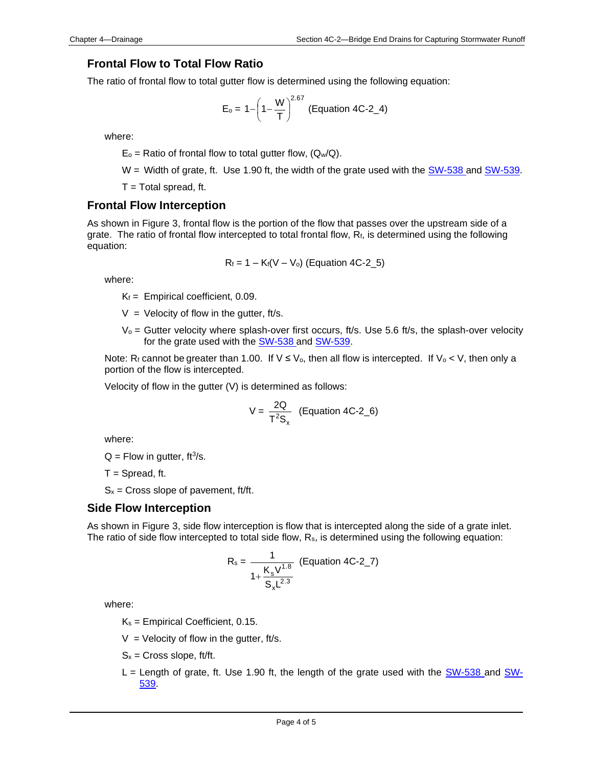#### **Frontal Flow to Total Flow Ratio**

The ratio of frontal flow to total gutter flow is determined using the following equation:

$$
E_o = 1 - \left(1 - \frac{W}{T}\right)^{2.67}
$$
 (Equation 4C-2\_4)

where:

 $E_0$  = Ratio of frontal flow to total gutter flow, ( $Q_w/Q$ ).

 $W =$  Width of grate, ft. Use 1.90 ft, the width of the grate used with the  $SW-538$  and  $SW-539$ .

 $T = Total$  spread, ft.

#### **Frontal Flow Interception**

As shown in Figure 3, frontal flow is the portion of the flow that passes over the upstream side of a grate. The ratio of frontal flow intercepted to total frontal flow, R<sub>f</sub>, is determined using the following equation:

$$
R_f = 1 - K_f(V - V_o)
$$
 (Equation 4C-2\_5)

where:

 $K_f$  = Empirical coefficient, 0.09.

 $V =$  Velocity of flow in the gutter, ft/s.

 $V_0$  = Gutter velocity where splash-over first occurs, ft/s. Use 5.6 ft/s, the splash-over velocity for the grate used with the [SW-538](../SRP/IndividualStandards/sw538.pdf) and [SW-539.](../SRP/IndividualStandards/sw539.pdf)

Note: R<sub>f</sub> cannot be greater than 1.00. If  $V \le V_0$ , then all flow is intercepted. If  $V_0 < V$ , then only a portion of the flow is intercepted.

Velocity of flow in the gutter (V) is determined as follows:

$$
V = \frac{2Q}{T^2S_x}
$$
 (Equation 4C-2\_6)

where:

 $Q =$  Flow in gutter, ft<sup>3</sup>/s.

 $T =$  Spread, ft.

 $S_x$  = Cross slope of pavement, ft/ft.

#### **Side Flow Interception**

As shown in Figure 3, side flow interception is flow that is intercepted along the side of a grate inlet. The ratio of side flow intercepted to total side flow, R<sub>s</sub>, is determined using the following equation:

$$
R_s = \frac{1}{1 + \frac{K_s V^{1.8}}{S_x L^{2.3}}}
$$
 (Equation 4C-2<sub>-</sub>7)

where:

 $K_s$  = Empirical Coefficient, 0.15.

 $V =$  Velocity of flow in the gutter, ft/s.

 $S_x =$  Cross slope, ft/ft.

 $L =$  Length of grate, ft. Use 1.90 ft, the length of the grate used with the [SW-538](../SRP/IndividualStandards/sw538.pdf) and [SW-](../SRP/IndividualStandards/sw539.pdf)[539.](../SRP/IndividualStandards/sw539.pdf)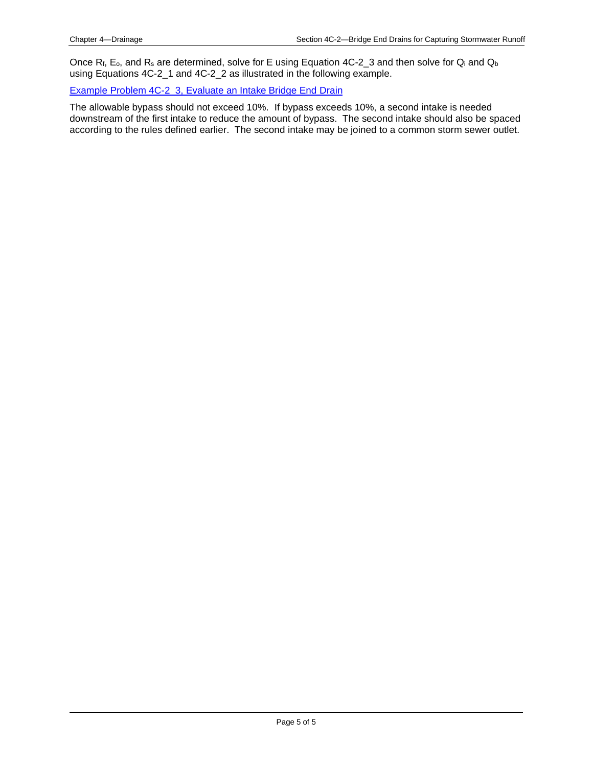Once  $R_f$ ,  $E_o$ , and  $R_s$  are determined, solve for E using Equation 4C-2\_3 and then solve for  $Q_i$  and  $Q_b$ using Equations 4C-2\_1 and 4C-2\_2 as illustrated in the following example.

#### [Example Problem 4C-2\\_3, Evaluate an Intake Bridge End Drain](04c-02/Example_Problem_4C-02_3.pdf)

The allowable bypass should not exceed 10%. If bypass exceeds 10%, a second intake is needed downstream of the first intake to reduce the amount of bypass. The second intake should also be spaced according to the rules defined earlier. The second intake may be joined to a common storm sewer outlet.